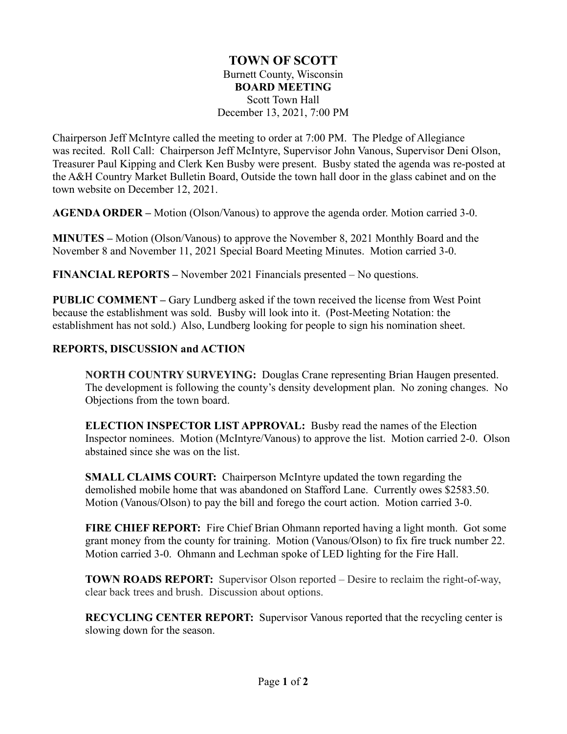## **TOWN OF SCOTT** Burnett County, Wisconsin **BOARD MEETING** Scott Town Hall December 13, 2021, 7:00 PM

Chairperson Jeff McIntyre called the meeting to order at 7:00 PM. The Pledge of Allegiance was recited. Roll Call: Chairperson Jeff McIntyre, Supervisor John Vanous, Supervisor Deni Olson, Treasurer Paul Kipping and Clerk Ken Busby were present. Busby stated the agenda was re-posted at the A&H Country Market Bulletin Board, Outside the town hall door in the glass cabinet and on the town website on December 12, 2021.

**AGENDA ORDER –** Motion (Olson/Vanous) to approve the agenda order. Motion carried 3-0.

**MINUTES –** Motion (Olson/Vanous) to approve the November 8, 2021 Monthly Board and the November 8 and November 11, 2021 Special Board Meeting Minutes. Motion carried 3-0.

**FINANCIAL REPORTS –** November 2021 Financials presented – No questions.

**PUBLIC COMMENT –** Gary Lundberg asked if the town received the license from West Point because the establishment was sold. Busby will look into it. (Post-Meeting Notation: the establishment has not sold.) Also, Lundberg looking for people to sign his nomination sheet.

## **REPORTS, DISCUSSION and ACTION**

**NORTH COUNTRY SURVEYING:** Douglas Crane representing Brian Haugen presented. The development is following the county's density development plan. No zoning changes. No Objections from the town board.

**ELECTION INSPECTOR LIST APPROVAL:** Busby read the names of the Election Inspector nominees. Motion (McIntyre/Vanous) to approve the list. Motion carried 2-0. Olson abstained since she was on the list.

**SMALL CLAIMS COURT:** Chairperson McIntyre updated the town regarding the demolished mobile home that was abandoned on Stafford Lane. Currently owes \$2583.50. Motion (Vanous/Olson) to pay the bill and forego the court action. Motion carried 3-0.

**FIRE CHIEF REPORT:** Fire Chief Brian Ohmann reported having a light month. Got some grant money from the county for training. Motion (Vanous/Olson) to fix fire truck number 22. Motion carried 3-0. Ohmann and Lechman spoke of LED lighting for the Fire Hall.

**TOWN ROADS REPORT:** Supervisor Olson reported – Desire to reclaim the right-of-way, clear back trees and brush. Discussion about options.

**RECYCLING CENTER REPORT:** Supervisor Vanous reported that the recycling center is slowing down for the season.